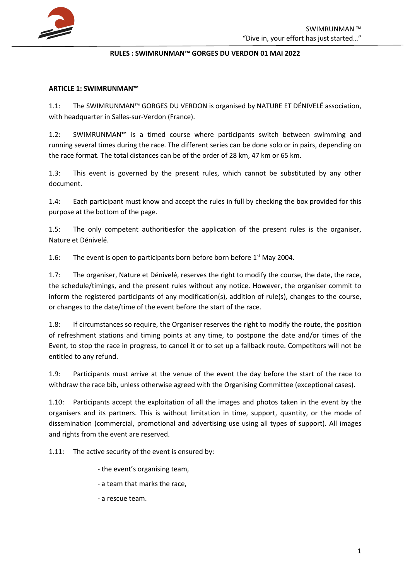

#### **RULES : SWIMRUNMAN™ GORGES DU VERDON 01 MAI 2022**

#### **ARTICLE 1: SWIMRUNMAN™**

1.1: The SWIMRUNMAN™ GORGES DU VERDON is organised by NATURE ET DÉNIVELÉ association, with headquarter in Salles-sur-Verdon (France).

1.2: SWIMRUNMAN™ is a timed course where participants switch between swimming and running several times during the race. The different series can be done solo or in pairs, depending on the race format. The total distances can be of the order of 28 km, 47 km or 65 km.

1.3: This event is governed by the present rules, which cannot be substituted by any other document.

1.4: Each participant must know and accept the rules in full by checking the box provided for this purpose at the bottom of the page.

1.5: The only competent authoritiesfor the application of the present rules is the organiser, Nature et Dénivelé.

1.6: The event is open to participants born before born before  $1<sup>st</sup>$  May 2004.

1.7: The organiser, Nature et Dénivelé, reserves the right to modify the course, the date, the race, the schedule/timings, and the present rules without any notice. However, the organiser commit to inform the registered participants of any modification(s), addition of rule(s), changes to the course, or changes to the date/time of the event before the start of the race.

1.8: If circumstances so require, the Organiser reserves the right to modify the route, the position of refreshment stations and timing points at any time, to postpone the date and/or times of the Event, to stop the race in progress, to cancel it or to set up a fallback route. Competitors will not be entitled to any refund.

1.9: Participants must arrive at the venue of the event the day before the start of the race to withdraw the race bib, unless otherwise agreed with the Organising Committee (exceptional cases).

1.10: Participants accept the exploitation of all the images and photos taken in the event by the organisers and its partners. This is without limitation in time, support, quantity, or the mode of dissemination (commercial, promotional and advertising use using all types of support). All images and rights from the event are reserved.

1.11: The active security of the event is ensured by:

- the event's organising team,
- a team that marks the race,
- a rescue team.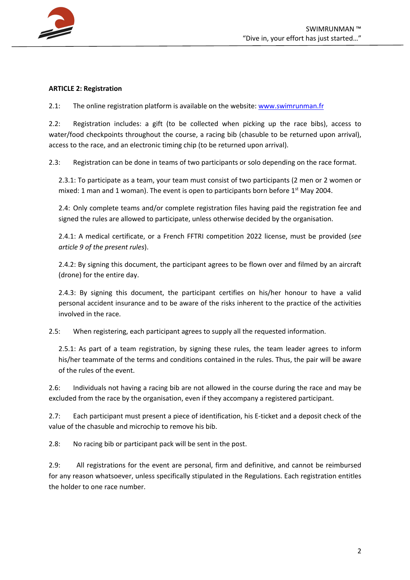

#### **ARTICLE 2: Registration**

2.1: The online registration platform is available on the website: www.swimrunman.fr

2.2: Registration includes: a gift (to be collected when picking up the race bibs), access to water/food checkpoints throughout the course, a racing bib (chasuble to be returned upon arrival), access to the race, and an electronic timing chip (to be returned upon arrival).

2.3: Registration can be done in teams of two participants or solo depending on the race format.

2.3.1: To participate as a team, your team must consist of two participants (2 men or 2 women or mixed: 1 man and 1 woman). The event is open to participants born before  $1<sup>st</sup>$  May 2004.

2.4: Only complete teams and/or complete registration files having paid the registration fee and signed the rules are allowed to participate, unless otherwise decided by the organisation.

2.4.1: A medical certificate, or a French FFTRI competition 2022 license, must be provided (*see article 9 of the present rules*).

2.4.2: By signing this document, the participant agrees to be flown over and filmed by an aircraft (drone) for the entire day.

2.4.3: By signing this document, the participant certifies on his/her honour to have a valid personal accident insurance and to be aware of the risks inherent to the practice of the activities involved in the race.

2.5: When registering, each participant agrees to supply all the requested information.

2.5.1: As part of a team registration, by signing these rules, the team leader agrees to inform his/her teammate of the terms and conditions contained in the rules. Thus, the pair will be aware of the rules of the event.

2.6: Individuals not having a racing bib are not allowed in the course during the race and may be excluded from the race by the organisation, even if they accompany a registered participant.

2.7: Each participant must present a piece of identification, his E-ticket and a deposit check of the value of the chasuble and microchip to remove his bib.

2.8: No racing bib or participant pack will be sent in the post.

2.9: All registrations for the event are personal, firm and definitive, and cannot be reimbursed for any reason whatsoever, unless specifically stipulated in the Regulations. Each registration entitles the holder to one race number.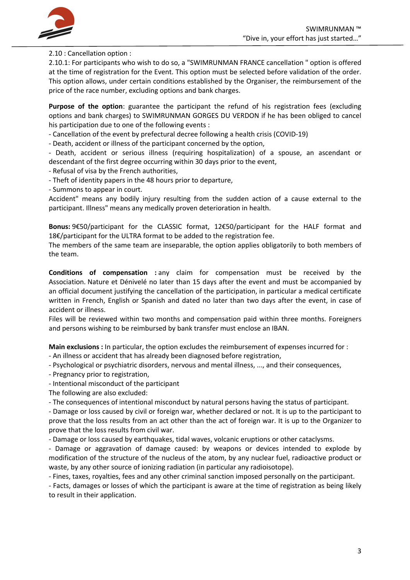

2.10 : Cancellation option :

2.10.1: For participants who wish to do so, a "SWIMRUNMAN FRANCE cancellation " option is offered at the time of registration for the Event. This option must be selected before validation of the order. This option allows, under certain conditions established by the Organiser, the reimbursement of the price of the race number, excluding options and bank charges.

**Purpose of the option**: guarantee the participant the refund of his registration fees (excluding options and bank charges) to SWIMRUNMAN GORGES DU VERDON if he has been obliged to cancel his participation due to one of the following events :

- Cancellation of the event by prefectural decree following a health crisis (COVID-19)

- Death, accident or illness of the participant concerned by the option,

- Death, accident or serious illness (requiring hospitalization) of a spouse, an ascendant or descendant of the first degree occurring within 30 days prior to the event,

- Refusal of visa by the French authorities,

- Theft of identity papers in the 48 hours prior to departure,

- Summons to appear in court.

Accident" means any bodily injury resulting from the sudden action of a cause external to the participant. Illness" means any medically proven deterioration in health.

**Bonus:** 9€50/participant for the CLASSIC format, 12€50/participant for the HALF format and 18€/participant for the ULTRA format to be added to the registration fee.

The members of the same team are inseparable, the option applies obligatorily to both members of the team.

**Conditions of compensation :** any claim for compensation must be received by the Association. Nature et Dénivelé no later than 15 days after the event and must be accompanied by an official document justifying the cancellation of the participation, in particular a medical certificate written in French, English or Spanish and dated no later than two days after the event, in case of accident or illness.

Files will be reviewed within two months and compensation paid within three months. Foreigners and persons wishing to be reimbursed by bank transfer must enclose an IBAN.

**Main exclusions :** In particular, the option excludes the reimbursement of expenses incurred for :

- An illness or accident that has already been diagnosed before registration,
- Psychological or psychiatric disorders, nervous and mental illness, ..., and their consequences,
- Pregnancy prior to registration,
- Intentional misconduct of the participant

The following are also excluded:

- The consequences of intentional misconduct by natural persons having the status of participant.

- Damage or loss caused by civil or foreign war, whether declared or not. It is up to the participant to prove that the loss results from an act other than the act of foreign war. It is up to the Organizer to prove that the loss results from civil war.

- Damage or loss caused by earthquakes, tidal waves, volcanic eruptions or other cataclysms.

- Damage or aggravation of damage caused: by weapons or devices intended to explode by modification of the structure of the nucleus of the atom, by any nuclear fuel, radioactive product or waste, by any other source of ionizing radiation (in particular any radioisotope).

- Fines, taxes, royalties, fees and any other criminal sanction imposed personally on the participant.

- Facts, damages or losses of which the participant is aware at the time of registration as being likely to result in their application.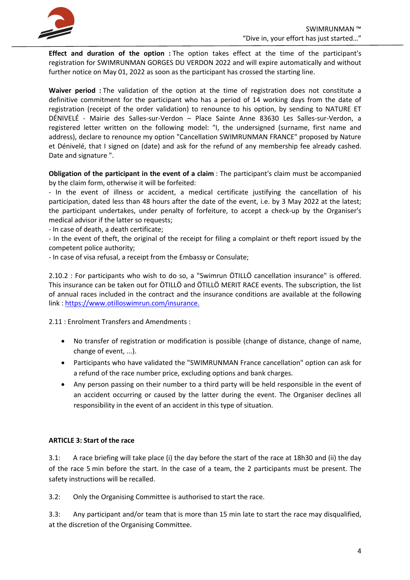

**Effect and duration of the option :** The option takes effect at the time of the participant's registration for SWIMRUNMAN GORGES DU VERDON 2022 and will expire automatically and without further notice on May 01, 2022 as soon as the participant has crossed the starting line.

**Waiver period :** The validation of the option at the time of registration does not constitute a definitive commitment for the participant who has a period of 14 working days from the date of registration (receipt of the order validation) to renounce to his option, by sending to NATURE ET DÉNIVELÉ - Mairie des Salles-sur-Verdon – Place Sainte Anne 83630 Les Salles-sur-Verdon, a registered letter written on the following model: "I, the undersigned (surname, first name and address), declare to renounce my option "Cancellation SWIMRUNMAN FRANCE" proposed by Nature et Dénivelé, that I signed on (date) and ask for the refund of any membership fee already cashed. Date and signature ".

**Obligation of the participant in the event of a claim** : The participant's claim must be accompanied by the claim form, otherwise it will be forfeited:

- In the event of illness or accident, a medical certificate justifying the cancellation of his participation, dated less than 48 hours after the date of the event, i.e. by 3 May 2022 at the latest; the participant undertakes, under penalty of forfeiture, to accept a check-up by the Organiser's medical advisor if the latter so requests;

- In case of death, a death certificate;

- In the event of theft, the original of the receipt for filing a complaint or theft report issued by the competent police authority;

- In case of visa refusal, a receipt from the Embassy or Consulate;

2.10.2 : For participants who wish to do so, a "Swimrun ÖTILLÖ cancellation insurance" is offered. This insurance can be taken out for ÖTILLÖ and ÖTILLÖ MERIT RACE events. The subscription, the list of annual races included in the contract and the insurance conditions are available at the following link : https://www.otilloswimrun.com/insurance.

2.11 : Enrolment Transfers and Amendments :

- No transfer of registration or modification is possible (change of distance, change of name, change of event, ...).
- Participants who have validated the "SWIMRUNMAN France cancellation" option can ask for a refund of the race number price, excluding options and bank charges.
- Any person passing on their number to a third party will be held responsible in the event of an accident occurring or caused by the latter during the event. The Organiser declines all responsibility in the event of an accident in this type of situation.

# **ARTICLE 3: Start of the race**

3.1: A race briefing will take place (i) the day before the start of the race at 18h30 and (ii) the day of the race 5 min before the start. In the case of a team, the 2 participants must be present. The safety instructions will be recalled.

3.2: Only the Organising Committee is authorised to start the race.

3.3: Any participant and/or team that is more than 15 min late to start the race may disqualified, at the discretion of the Organising Committee.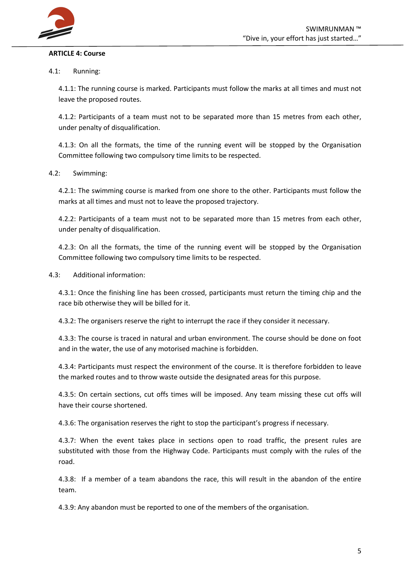

#### **ARTICLE 4: Course**

#### 4.1: Running:

4.1.1: The running course is marked. Participants must follow the marks at all times and must not leave the proposed routes.

4.1.2: Participants of a team must not to be separated more than 15 metres from each other, under penalty of disqualification.

4.1.3: On all the formats, the time of the running event will be stopped by the Organisation Committee following two compulsory time limits to be respected.

#### 4.2: Swimming:

4.2.1: The swimming course is marked from one shore to the other. Participants must follow the marks at all times and must not to leave the proposed trajectory.

4.2.2: Participants of a team must not to be separated more than 15 metres from each other, under penalty of disqualification.

4.2.3: On all the formats, the time of the running event will be stopped by the Organisation Committee following two compulsory time limits to be respected.

4.3: Additional information:

4.3.1: Once the finishing line has been crossed, participants must return the timing chip and the race bib otherwise they will be billed for it.

4.3.2: The organisers reserve the right to interrupt the race if they consider it necessary.

4.3.3: The course is traced in natural and urban environment. The course should be done on foot and in the water, the use of any motorised machine is forbidden.

4.3.4: Participants must respect the environment of the course. It is therefore forbidden to leave the marked routes and to throw waste outside the designated areas for this purpose.

4.3.5: On certain sections, cut offs times will be imposed. Any team missing these cut offs will have their course shortened.

4.3.6: The organisation reserves the right to stop the participant's progress if necessary.

4.3.7: When the event takes place in sections open to road traffic, the present rules are substituted with those from the Highway Code. Participants must comply with the rules of the road.

4.3.8: If a member of a team abandons the race, this will result in the abandon of the entire team.

4.3.9: Any abandon must be reported to one of the members of the organisation.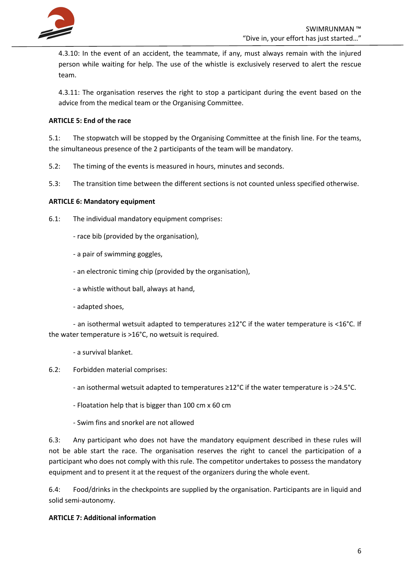

4.3.10: In the event of an accident, the teammate, if any, must always remain with the injured person while waiting for help. The use of the whistle is exclusively reserved to alert the rescue team.

4.3.11: The organisation reserves the right to stop a participant during the event based on the advice from the medical team or the Organising Committee.

# **ARTICLE 5: End of the race**

5.1: The stopwatch will be stopped by the Organising Committee at the finish line. For the teams, the simultaneous presence of the 2 participants of the team will be mandatory.

5.2: The timing of the events is measured in hours, minutes and seconds.

5.3: The transition time between the different sections is not counted unless specified otherwise.

# **ARTICLE 6: Mandatory equipment**

- 6.1: The individual mandatory equipment comprises:
	- race bib (provided by the organisation),
	- a pair of swimming goggles,
	- an electronic timing chip (provided by the organisation),
	- a whistle without ball, always at hand,
	- adapted shoes,

- an isothermal wetsuit adapted to temperatures ≥12°C if the water temperature is ˂16°C. If the water temperature is >16°C, no wetsuit is required.

- a survival blanket.
- 6.2: Forbidden material comprises:
	- an isothermal wetsuit adapted to temperatures ≥12°C if the water temperature is >24.5°C.
	- Floatation help that is bigger than 100 cm x 60 cm
	- Swim fins and snorkel are not allowed

6.3: Any participant who does not have the mandatory equipment described in these rules will not be able start the race. The organisation reserves the right to cancel the participation of a participant who does not comply with this rule. The competitor undertakes to possess the mandatory equipment and to present it at the request of the organizers during the whole event.

6.4: Food/drinks in the checkpoints are supplied by the organisation. Participants are in liquid and solid semi-autonomy.

# **ARTICLE 7: Additional information**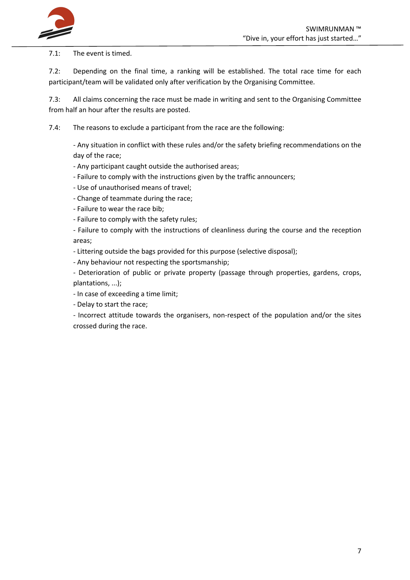

7.1: The event is timed.

7.2: Depending on the final time, a ranking will be established. The total race time for each participant/team will be validated only after verification by the Organising Committee.

7.3: All claims concerning the race must be made in writing and sent to the Organising Committee from half an hour after the results are posted.

7.4: The reasons to exclude a participant from the race are the following:

- Any situation in conflict with these rules and/or the safety briefing recommendations on the day of the race;

- Any participant caught outside the authorised areas;

- Failure to comply with the instructions given by the traffic announcers;
- Use of unauthorised means of travel;
- Change of teammate during the race;
- Failure to wear the race bib;
- Failure to comply with the safety rules;

- Failure to comply with the instructions of cleanliness during the course and the reception areas;

- Littering outside the bags provided for this purpose (selective disposal);

- Any behaviour not respecting the sportsmanship;

- Deterioration of public or private property (passage through properties, gardens, crops, plantations, ...);

- In case of exceeding a time limit;

- Delay to start the race;

- Incorrect attitude towards the organisers, non-respect of the population and/or the sites crossed during the race.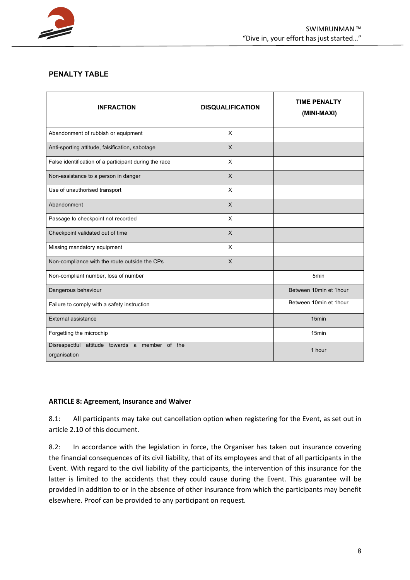

# **PENALTY TABLE**

| <b>INFRACTION</b>                                              | <b>DISQUALIFICATION</b> | <b>TIME PENALTY</b><br>(MINI-MAXI) |
|----------------------------------------------------------------|-------------------------|------------------------------------|
| Abandonment of rubbish or equipment                            | $\mathsf{x}$            |                                    |
| Anti-sporting attitude, falsification, sabotage                | $\sf X$                 |                                    |
| False identification of a participant during the race          | $\mathsf{X}$            |                                    |
| Non-assistance to a person in danger                           | $\mathsf{X}$            |                                    |
| Use of unauthorised transport                                  | X                       |                                    |
| Abandonment                                                    | $\mathsf{X}$            |                                    |
| Passage to checkpoint not recorded                             | $\mathsf{x}$            |                                    |
| Checkpoint validated out of time                               | $\mathsf{x}$            |                                    |
| Missing mandatory equipment                                    | $\mathsf{X}$            |                                    |
| Non-compliance with the route outside the CPs                  | $\mathsf{X}$            |                                    |
| Non-compliant number, loss of number                           |                         | 5 <sub>min</sub>                   |
| Dangerous behaviour                                            |                         | Between 10min et 1hour             |
| Failure to comply with a safety instruction                    |                         | Between 10min et 1hour             |
| External assistance                                            |                         | 15 <sub>min</sub>                  |
| Forgetting the microchip                                       |                         | 15 <sub>min</sub>                  |
| Disrespectful attitude towards a member of the<br>organisation |                         | 1 hour                             |

# **ARTICLE 8: Agreement, Insurance and Waiver**

8.1: All participants may take out cancellation option when registering for the Event, as set out in article 2.10 of this document.

8.2: In accordance with the legislation in force, the Organiser has taken out insurance covering the financial consequences of its civil liability, that of its employees and that of all participants in the Event. With regard to the civil liability of the participants, the intervention of this insurance for the latter is limited to the accidents that they could cause during the Event. This guarantee will be provided in addition to or in the absence of other insurance from which the participants may benefit elsewhere. Proof can be provided to any participant on request.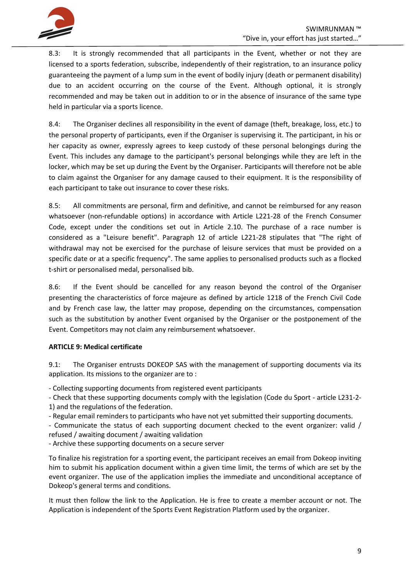

8.3: It is strongly recommended that all participants in the Event, whether or not they are licensed to a sports federation, subscribe, independently of their registration, to an insurance policy guaranteeing the payment of a lump sum in the event of bodily injury (death or permanent disability) due to an accident occurring on the course of the Event. Although optional, it is strongly recommended and may be taken out in addition to or in the absence of insurance of the same type held in particular via a sports licence.

8.4: The Organiser declines all responsibility in the event of damage (theft, breakage, loss, etc.) to the personal property of participants, even if the Organiser is supervising it. The participant, in his or her capacity as owner, expressly agrees to keep custody of these personal belongings during the Event. This includes any damage to the participant's personal belongings while they are left in the locker, which may be set up during the Event by the Organiser. Participants will therefore not be able to claim against the Organiser for any damage caused to their equipment. It is the responsibility of each participant to take out insurance to cover these risks.

8.5: All commitments are personal, firm and definitive, and cannot be reimbursed for any reason whatsoever (non-refundable options) in accordance with Article L221-28 of the French Consumer Code, except under the conditions set out in Article 2.10. The purchase of a race number is considered as a "Leisure benefit". Paragraph 12 of article L221-28 stipulates that "The right of withdrawal may not be exercised for the purchase of leisure services that must be provided on a specific date or at a specific frequency". The same applies to personalised products such as a flocked t-shirt or personalised medal, personalised bib.

8.6: If the Event should be cancelled for any reason beyond the control of the Organiser presenting the characteristics of force majeure as defined by article 1218 of the French Civil Code and by French case law, the latter may propose, depending on the circumstances, compensation such as the substitution by another Event organised by the Organiser or the postponement of the Event. Competitors may not claim any reimbursement whatsoever.

# **ARTICLE 9: Medical certificate**

9.1: The Organiser entrusts DOKEOP SAS with the management of supporting documents via its application. Its missions to the organizer are to :

- Collecting supporting documents from registered event participants

- Check that these supporting documents comply with the legislation (Code du Sport - article L231-2-

1) and the regulations of the federation.

- Regular email reminders to participants who have not yet submitted their supporting documents.

- Communicate the status of each supporting document checked to the event organizer: valid / refused / awaiting document / awaiting validation

- Archive these supporting documents on a secure server

To finalize his registration for a sporting event, the participant receives an email from Dokeop inviting him to submit his application document within a given time limit, the terms of which are set by the event organizer. The use of the application implies the immediate and unconditional acceptance of Dokeop's general terms and conditions.

It must then follow the link to the Application. He is free to create a member account or not. The Application is independent of the Sports Event Registration Platform used by the organizer.